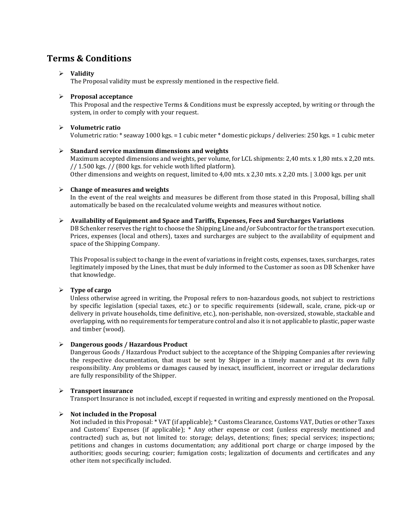# **Terms & Conditions**

# ➢ **Validity**

The Proposal validity must be expressly mentioned in the respective field.

# ➢ **Proposal acceptance**

This Proposal and the respective Terms & Conditions must be expressly accepted, by writing or through the system, in order to comply with your request.

## ➢ **Volumetric ratio**

Volumetric ratio: \* seaway 1000 kgs. = 1 cubic meter \* domestic pickups / deliveries: 250 kgs. = 1 cubic meter

### ➢ **Standard service maximum dimensions and weights**

Maximum accepted dimensions and weights, per volume, for LCL shipments: 2,40 mts. x 1,80 mts. x 2,20 mts. // 1.500 kgs. // (800 kgs. for vehicle woth lifted platform). Other dimensions and weights on request, limited to 4,00 mts. x 2,30 mts. x 2,20 mts. | 3.000 kgs. per unit

# ➢ **Change of measures and weights**

In the event of the real weights and measures be different from those stated in this Proposal, billing shall automatically be based on the recalculated volume weights and measures without notice.

#### ➢ **Availability of Equipment and Space and Tariffs, Expenses, Fees and Surcharges Variations**

DB Schenker reserves the right to choose the Shipping Line and/or Subcontractor for the transport execution. Prices, expenses (local and others), taxes and surcharges are subject to the availability of equipment and space of the Shipping Company.

This Proposal is subject to change in the event of variations in freight costs, expenses, taxes, surcharges, rates legitimately imposed by the Lines, that must be duly informed to the Customer as soon as DB Schenker have that knowledge.

➢ **Type of cargo**

Unless otherwise agreed in writing, the Proposal refers to non-hazardous goods, not subject to restrictions by specific legislation (special taxes, etc.) or to specific requirements (sidewall, scale, crane, pick-up or delivery in private households, time definitive, etc.), non-perishable, non-oversized, stowable, stackable and overlapping, with no requirements for temperature control and also it is not applicable to plastic, paper waste and timber (wood).

# ➢ **Dangerous goods / Hazardous Product**

Dangerous Goods / Hazardous Product subject to the acceptance of the Shipping Companies after reviewing the respective documentation, that must be sent by Shipper in a timely manner and at its own fully responsibility. Any problems or damages caused by inexact, insufficient, incorrect or irregular declarations are fully responsibility of the Shipper.

# ➢ **Transport insurance**

Transport Insurance is not included, except if requested in writing and expressly mentioned on the Proposal.

# ➢ **Not included in the Proposal**

Not included in this Proposal: \* VAT (if applicable); \* Customs Clearance, Customs VAT, Duties or other Taxes and Customs' Expenses (if applicable); \* Any other expense or cost (unless expressly mentioned and contracted) such as, but not limited to: storage; delays, detentions; fines; special services; inspections; petitions and changes in customs documentation; any additional port charge or charge imposed by the authorities; goods securing; courier; fumigation costs; legalization of documents and certificates and any other item not specifically included.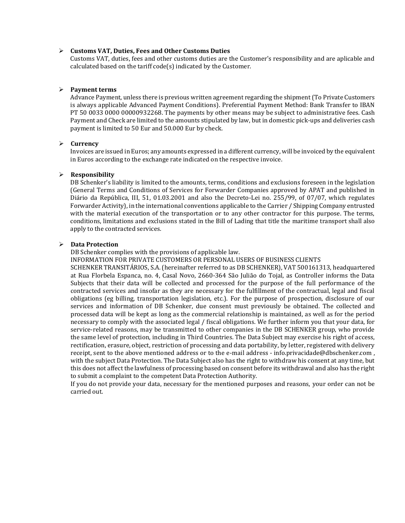#### ➢ **Customs VAT, Duties, Fees and Other Customs Duties**

Customs VAT, duties, fees and other customs duties are the Customer's responsibility and are aplicable and calculated based on the tariff code(s) indicated by the Customer.

#### ➢ **Payment terms**

Advance Payment, unless there is previous written agreement regarding the shipment (To Private Customers is always applicable Advanced Payment Conditions). Preferential Payment Method: Bank Transfer to IBAN PT 50 0033 0000 00000932268. The payments by other means may be subject to administrative fees. Cash Payment and Check are limited to the amounts stipulated by law, but in domestic pick-ups and deliveries cash payment is limited to 50 Eur and 50.000 Eur by check.

#### ➢ **Currency**

Invoices are issued in Euros; any amounts expressed in a different currency, will be invoiced by the equivalent in Euros according to the exchange rate indicated on the respective invoice.

#### ➢ **Responsibility**

DB Schenker's liability is limited to the amounts, terms, conditions and exclusions foreseen in the legislation (General Terms and Conditions of Services for Forwarder Companies approved by APAT and published in Diário da República, III, 51, 01.03.2001 and also the Decreto-Lei no. 255/99, of 07/07, which regulates Forwarder Activity), in the international conventions applicable to the Carrier / Shipping Company entrusted with the material execution of the transportation or to any other contractor for this purpose. The terms, conditions, limitations and exclusions stated in the Bill of Lading that title the maritime transport shall also apply to the contracted services.

#### ➢ **Data Protection**

DB Schenker complies with the provisions of applicable law.

INFORMATION FOR PRIVATE CUSTOMERS OR PERSONAL USERS OF BUSINESS CLIENTS

SCHENKER TRANSITÁRIOS, S.A. (hereinafter referred to as DB SCHENKER), VAT 500161313, headquartered at Rua Florbela Espanca, no. 4, Casal Novo, 2660-364 São Julião do Tojal, as Controller informs the Data Subjects that their data will be collected and processed for the purpose of the full performance of the contracted services and insofar as they are necessary for the fulfillment of the contractual, legal and fiscal obligations (eg billing, transportation legislation, etc.). For the purpose of prospection, disclosure of our services and information of DB Schenker, due consent must previously be obtained. The collected and processed data will be kept as long as the commercial relationship is maintained, as well as for the period necessary to comply with the associated legal / fiscal obligations. We further inform you that your data, for service-related reasons, may be transmitted to other companies in the DB SCHENKER group, who provide the same level of protection, including in Third Countries. The Data Subject may exercise his right of access, rectification, erasure, object, restriction of processing and data portability, by letter, registered with delivery receipt, sent to the above mentioned address or to the e-mail address - [info.privacidade@dbschenker.com](mailto:info.privacidade@dbschenker.com) , with the subject Data Protection. The Data Subject also has the right to withdraw his consent at any time, but this does not affect the lawfulness of processing based on consent before its withdrawal and also has the right to submit a complaint to the competent Data Protection Authority.

If you do not provide your data, necessary for the mentioned purposes and reasons, your order can not be carried out.